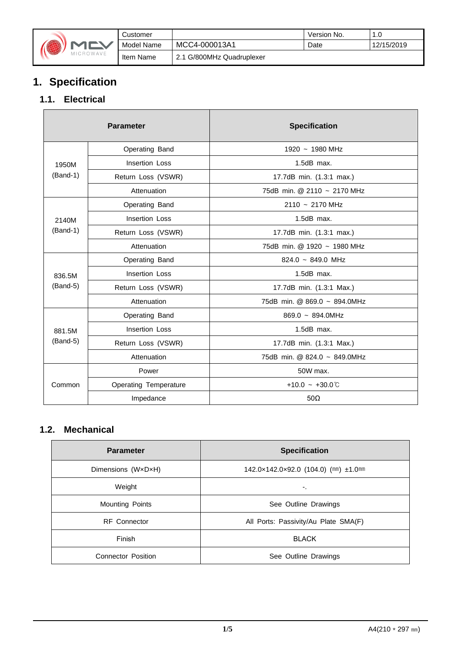

|   | Customer   |                           | Version No. | 1.0        |
|---|------------|---------------------------|-------------|------------|
|   | Model Name | MCC4-000013A1             | Date        | 12/15/2019 |
| E | Item Name  | 2.1 G/800MHz Quadruplexer |             |            |

# **1. Specification**

### **1.1. Electrical**

|            | <b>Parameter</b>             | <b>Specification</b>           |
|------------|------------------------------|--------------------------------|
|            | Operating Band               | 1920 ~ 1980 MHz                |
| 1950M      | <b>Insertion Loss</b>        | $1.5dB$ max.                   |
| $(Band-1)$ | Return Loss (VSWR)           | 17.7dB min. (1.3:1 max.)       |
|            | Attenuation                  | 75dB min. @ 2110 ~ 2170 MHz    |
|            | Operating Band               | $2110 - 2170$ MHz              |
| 2140M      | Insertion Loss               | $1.5dB$ max.                   |
| $(Band-1)$ | Return Loss (VSWR)           | 17.7dB min. (1.3:1 max.)       |
|            | Attenuation                  | 75dB min. @ 1920 ~ 1980 MHz    |
|            | Operating Band               | $824.0 \sim 849.0 \text{ MHz}$ |
| 836.5M     | <b>Insertion Loss</b>        | $1.5dB$ max.                   |
| $(Band-5)$ | Return Loss (VSWR)           | 17.7dB min. (1.3:1 Max.)       |
|            | Attenuation                  | 75dB min. @ 869.0 ~ 894.0MHz   |
|            | Operating Band               | $869.0 - 894.0$ MHz            |
| 881.5M     | Insertion Loss               | $1.5dB$ max.                   |
| $(Band-5)$ | Return Loss (VSWR)           | 17.7dB min. (1.3:1 Max.)       |
|            | Attenuation                  | 75dB min. @ 824.0 ~ 849.0MHz   |
|            | Power                        | 50W max.                       |
| Common     | <b>Operating Temperature</b> | +10.0 ~ +30.0 $\degree$        |
|            | Impedance                    | $50\Omega$                     |

### **1.2. Mechanical**

| <b>Parameter</b>          | <b>Specification</b>                      |
|---------------------------|-------------------------------------------|
| Dimensions (WxDxH)        | 142.0×142.0×92.0 (104.0) (mm) $\pm$ 1.0mm |
| Weight                    | ۰.                                        |
| <b>Mounting Points</b>    | See Outline Drawings                      |
| <b>RF</b> Connector       | All Ports: Passivity/Au Plate SMA(F)      |
| Finish                    | <b>BLACK</b>                              |
| <b>Connector Position</b> | See Outline Drawings                      |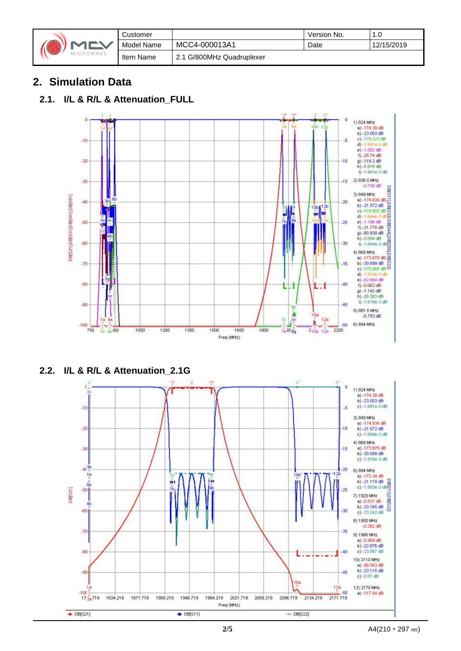|  | MICROWAVE |
|--|-----------|
|--|-----------|

|    | Customer   |                           | Version No. | 1          |
|----|------------|---------------------------|-------------|------------|
| ╲  | Model Name | MCC4-000013A1             | Date        | 12/15/2019 |
| VE | Item Name  | 2.1 G/800MHz Quadruplexer |             |            |

## **2. Simulation Data**

#### **2.1. I/L & R/L & Attenuation\_FULL**



**2.2. I/L & R/L & Attenuation\_2.1G**

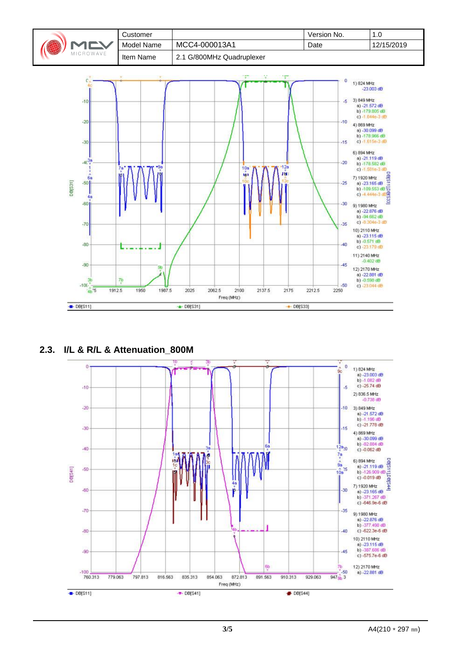

**2.3. I/L & R/L & Attenuation\_800M**

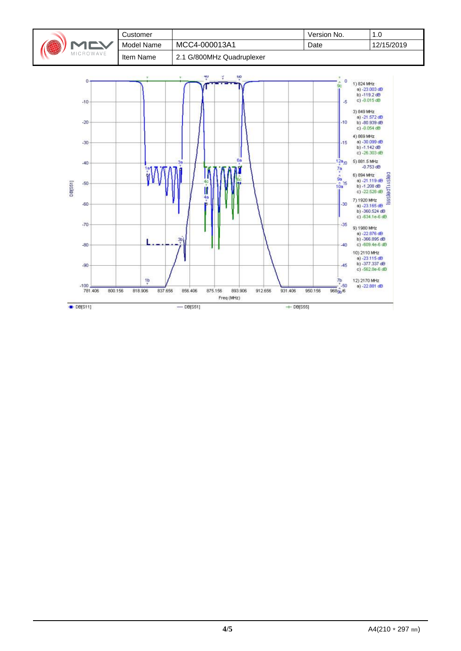